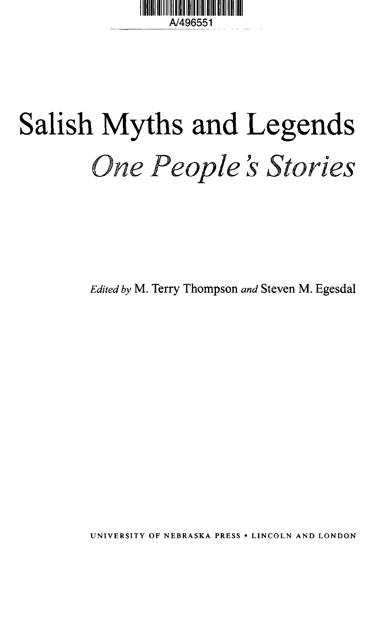

# Salish Myths and Legends *One People \$ Stories*

*Edited by* M. Terry Thompson *and* Steven M. Egesdal

UNIVERSITY OF NEBRASKA PRESS • LINCOLN AND LONDON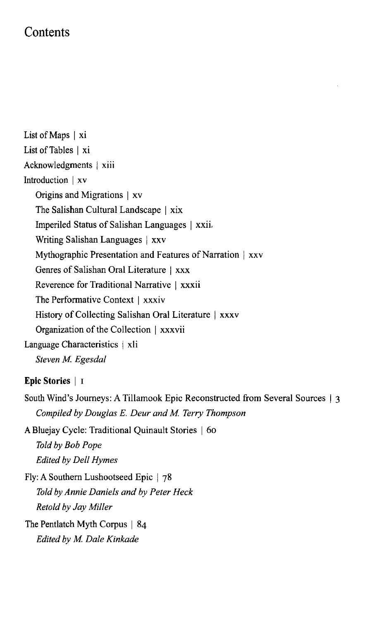## **Contents**

List of Maps | xi List of Tables | xi Acknowledgments | xiii Introduction | xv Origins and Migrations | xv The Salishan Cultural Landscape | xix Imperiled Status of Salishan Languages | xxii, Writing Salishan Languages | xxv Mythographic Presentation and Features of Narration | xxv Genres of Salishan Oral Literature | xxx Reverence for Traditional Narrative | xxxii The Performative Context | xxxiv History of Collecting Salishan Oral Literature | xxxv Organization of the Collection | xxxvii Language Characteristics | xli *Steven M. Egesdal*

## **Epic Stories** | i

South Wind's Journeys: A Tillamook Epic Reconstructed from Several Sources *Compiled by Douglas E. Deur and M. Terry Thompson*

A Bluejay Cycle: Traditional Quinault Stories | 60 *Told by Bob Pope Edited by Dell Hymes*

Fly: A Southern Lushootseed Epic | 78 *Told by Annie Daniels and by Peter Heck Retold by Jay Miller*

The Pentlatch Myth Corpus | 84 *Edited by M. Dale Kinkade*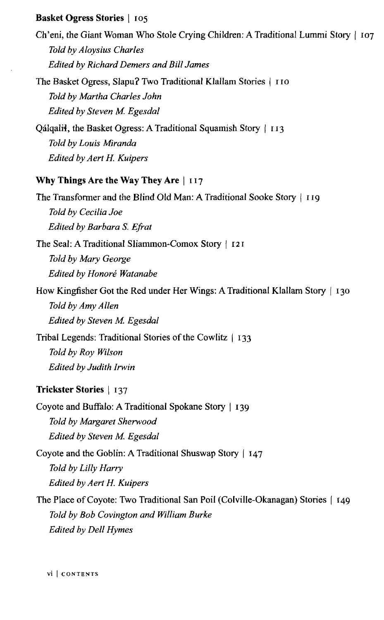## **Basket Ogress Stories** | 105

Ch'eni, the Giant Woman Who Stole Crying Children: A Traditional Lummi Story | 107 *Told by Aloysius Charles Edited by Richard Demers and Bill James*

The Basket Ogress, Slapu? Two Traditional Klallam Stories | 110 *Told by Martha Charles John Edited by Steven M. Egesdal*

Oálgalii, the Basket Ogress: A Traditional Squamish Story | 113 *Told by Louis Miranda Edited by Aert H. Kuipers*

## **Why Things Are the Way They Are** | 117

The Transformer and the Blind Old Man: A Traditional Sooke Story | 119 *Told by Cecilia Joe Edited by Barbara S. Efrat* The Seal: A Traditional Sliammon-Comox Story | 121

*Told by Mary George Edited by Honore Watanabe*

How Kingfisher Got the Red under Her Wings: A Traditional Klallam Story | 130 *Told by Amy Allen Edited by Steven M. Egesdal*

Tribal Legends: Traditional Stories of the Cowlitz | 133 *Told by Roy Wilson Edited by Judith Irwin*

## **Trickster Stories** | 137

Coyote and Buffalo: A Traditional Spokane Story | 139 *Told by Margaret Sherwood Edited by Steven M. Egesdal*

Coyote and the Goblin: A Traditional Shuswap Story | 147 *Told by Lilly Harry Edited by Aert H. Kuipers*

The Place of Coyote: Two Traditional San Poil (Colville-Okanagan) Stories | 149 *Told by Bob Covington and William Burke Edited by Dell Hymes*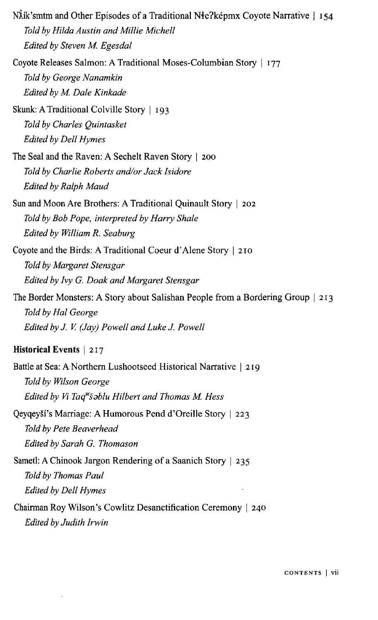| NÅik'smtm and Other Episodes of a Traditional Nłe?képmx Coyote Narrative   154          |
|-----------------------------------------------------------------------------------------|
| Told by Hilda Austin and Millie Michell                                                 |
| Edited by Steven M. Egesdal                                                             |
| Coyote Releases Salmon: A Traditional Moses-Columbian Story   177                       |
| Told by George Nanamkin                                                                 |
| Edited by M. Dale Kinkade                                                               |
| Skunk: A Traditional Colville Story   193                                               |
| Told by Charles Quintasket                                                              |
| <b>Edited by Dell Hymes</b>                                                             |
| The Seal and the Raven: A Sechelt Raven Story   200                                     |
| Told by Charlie Roberts and/or Jack Isidore                                             |
| Edited by Ralph Maud                                                                    |
| Sun and Moon Are Brothers: A Traditional Quinault Story   202                           |
| Told by Bob Pope, interpreted by Harry Shale                                            |
| Edited by William R. Seaburg                                                            |
| Coyote and the Birds: A Traditional Coeur d'Alene Story   210                           |
| Told by Margaret Stensgar                                                               |
| Edited by Ivy G. Doak and Margaret Stensgar                                             |
| The Border Monsters: A Story about Salishan People from a Bordering Group   213         |
| Told by Hal George                                                                      |
| Edited by J. V. (Jay) Powell and Luke J. Powell                                         |
| Historical Events   217                                                                 |
| Battle at Sea: A Northern Lushootseed Historical Narrative   219                        |
| Told by Wilson George                                                                   |
| Edited by Vi Taq"šablu Hilbert and Thomas M. Hess                                       |
| Qeyqeyší's Marriage: A Humorous Pend d'Oreille Story   223                              |
| Told by Pete Beaverhead                                                                 |
| Edited by Sarah G. Thomason                                                             |
| Sametl: A Chinook Jargon Rendering of a Saanich Story   235                             |
| Told by Thomas Paul                                                                     |
| Edited by Dell Hymes                                                                    |
| Chairman Roy Wilson's Cowlitz Desanctification Ceremony   240<br>Edited by Judith Irwin |

 $\sim 10^{-1}$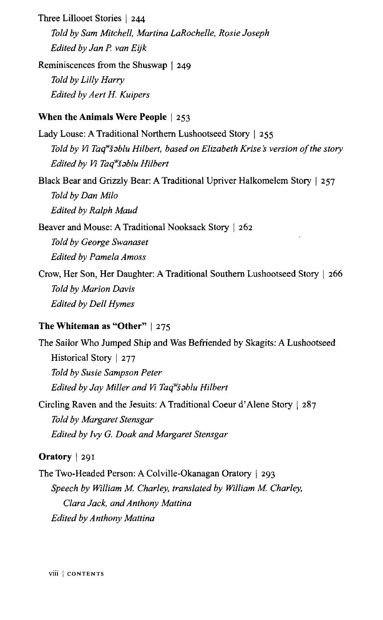Three Lillooet Stories | 244 *Told by Sam Mitchell, Martina LaRochelle, Rosie Joseph Edited by Jan P. van Eijk*

Reminiscences from the Shuswap | 249 *Told by Lilly Harry Edited by Aert H. Kuipers*

## **When the Animals Were People** | 253

Lady Louse: A Traditional Northern Lushootseed Story | 255 Told by Vi Taq<sup>w</sup>šəblu Hilbert, based on Elizabeth Krise's version of the story Edited by Vi Taq<sup>w</sup>šablu Hilbert

Black Bear and Grizzly Bear: A Traditional Upriver Halkomelem Story | 257 *Told by Dan Milo Edited by Ralph Maud*

Beaver and Mouse: A Traditional Nooksack Story | 262 *Told by George Swanaset Edited by Pamela Amoss*

Crow, Her Son, Her Daughter: A Traditional Southern Lushootseed Story | 266 *Told by Marion Davis Edited by Dell Hymes*

## **The Whiteman as "Other"** | 275

The Sailor Who Jumped Ship and Was Befriended by Skagits: A Lushootseed Historical Story | 277 *Told by Susie Sampson Peter Edited by Jay Miller and Vi Taq<sup>w</sup> s9blu Hilbert*

Circling Raven and the Jesuits: A Traditional Coeur d'Alene Story | 287 *Told by Margaret Stensgar Edited by Ivy G. Doak and Margaret Stensgar*

## **Oratory** | 291

The Two-Headed Person: A Colville-Okanagan Oratory | 293 *Speech by William M. Charley, translated by William M. Charley, Clara Jack, and Anthony Mattina Edited by Anthony Mattina*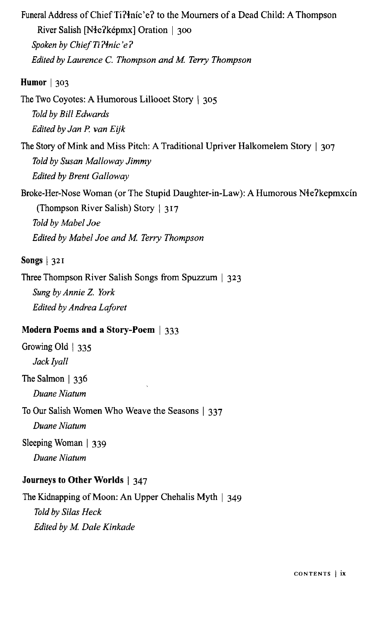Funeral Address of Chief Ti?inic'e? to the Mourners of a Dead Child: A Thompson River Salish [Nie?kepmx] Oration | 300 Spoken by Chief Ti?inic'e? *Edited by Laurence C. Thompson and M. Terry Thompson*

## **Humor** | 303

The Two Coyotes: A Humorous Lillooet Story | 305 *Told by Bill Edwards Edited by Jan P. van Eijk*

The Story of Mink and Miss Pitch: A Traditional Upriver Halkomelem Story | 307 *Told by Susan Malloway Jimmy Edited by Brent Galloway*

Broke-Her-Nose Woman (or The Stupid Daughter-in-Law): A Humorous Nie?kepmxcin (Thompson River Salish) Story | 317 *Told by Mabel Joe Edited by Mabel Joe and M. Terry Thompson*

## **Songs** I 321

Three Thompson River Salish Songs from Spuzzum | 323 *Sung by Annie Z. York Edited by Andrea Laforet*

## **Modern Poems and a Story-Poem** | 333

Growing Old | 335 *Jack ly all*

The Salmon | 336 *Duane Niatum*

To Our Salish Women Who Weave the Seasons | 337

*Duane Niatum*

Sleeping Woman | 339

*Duane Niatum*

#### **Journeys to Other Worlds** | 347

The Kidnapping of Moon: An Upper Chehalis Myth | 349 *Told by Silas Heck Edited by M. Dale Kinkade*